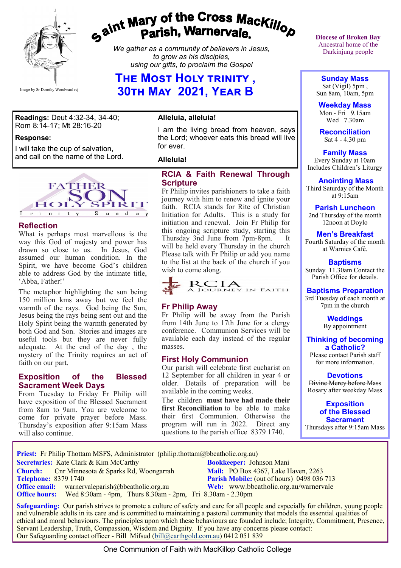

# gaint Mary of the Cross Mackillop<br>Parish, Warnervale.

*We gather as a community of believers in Jesus, to grow as his disciples, using our gifts, to proclaim the Gospel*

## **The Most Holy trinity , 30th May 2021, Year B**

**Readings:** Deut 4:32-34, 34-40; Rom 8:14-17; Mt 28:16-20

#### **Response:**

I will take the cup of salvation, and call on the name of the Lord.



#### **Reflection**

What is perhaps most marvellous is the way this God of majesty and power has drawn so close to us. In Jesus, God assumed our human condition. In the Spirit, we have become God's children able to address God by the intimate title, 'Abba, Father!'

The metaphor highlighting the sun being 150 million kms away but we feel the warmth of the rays. God being the Sun, Jesus being the rays being sent out and the Holy Spirit being the warmth generated by both God and Son. Stories and images are useful tools but they are never fully adequate. At the end of the day , the mystery of the Trinity requires an act of faith on our part.

#### **Exposition of the Blessed Sacrament Week Days**

From Tuesday to Friday Fr Philip will have exposition of the Blessed Sacrament from 8am to 9am. You are welcome to come for private prayer before Mass. Thursday's exposition after 9:15am Mass will also continue.

#### **Alleluia, alleluia!**

I am the living bread from heaven, says the Lord; whoever eats this bread will live for ever.

#### **Alleluia!**

#### **RCIA & Faith Renewal Through Scripture**

Fr Philip invites parishioners to take a faith journey with him to renew and ignite your faith. RCIA stands for Rite of Christian Initiation for Adults. This is a study for initiation and renewal. Join Fr Philip for this ongoing scripture study, starting this Thursday 3nd June from 7pm-8pm. It will be held every Thursday in the church Please talk with Fr Philip or add you name to the list at the back of the church if you wish to come along.



#### **Fr Philip Away**

Fr Philip will be away from the Parish from 14th June to 17th June for a clergy conference. Communion Services will be available each day instead of the regular masses.

#### **First Holy Communion**

Our parish will celebrate first eucharist on 12 September for all children in year 4 or older. Details of preparation will be available in the coming weeks.

The children **must have had made their first Reconciliation** to be able to make their first Communion. Otherwise the program will run in 2022. Direct any questions to the parish office 8379 1740.

**Diocese of Broken Bay**  Ancestral home of the Darkinjung people

**Sunday Mass** Sat (Vigil) 5pm ,

Sun 8am, 10am, 5pm **Weekday Mass**

Mon - Fri 9.15am Wed 7.30am

**Reconciliation** Sat 4 - 4.30 pm

#### **Family Mass**

 Every Sunday at 10am Includes Children's Liturgy

**Anointing Mass**

Third Saturday of the Month at 9:15am

**Parish Luncheon**

2nd Thursday of the month 12noon at Doylo

#### **Men's Breakfast**

Fourth Saturday of the month at Warnies Café.

**Baptisms** Sunday 11.30am Contact the Parish Office for details.

#### **Baptisms Preparation**

3rd Tuesday of each month at 7pm in the church

> **Weddings**  By appointment

**Thinking of becoming a Catholic?**

Please contact Parish staff for more information.

#### **Devotions**

Divine Mercy before Mass Rosary after weekday Mass

**Exposition of the Blessed Sacrament** Thursdays after 9:15am Mass

**Priest:** Fr Philip Thottam MSFS, Administrator (philip.thottam@bbcatholic.org.au)

**Secretaries:** Kate Clark & Kim McCarthy **Bookkeeper:** Johnson Mani

**Church:** Cnr Minnesota & Sparks Rd, Woongarrah **Mail: PO Box 4367, Lake Haven, 2263**<br> **Parish Mobile:** (out of hours) 0498 036 **Office email:** warnervaleparish@bbcatholic.org.au **Web:** [www.bbcatholic.org.au/warnervale](https://www.bbcatholic.org.au/warnervale)

**Parish Mobile:** (out of hours) 0498 036 713  **Office hours:** Wed 8:30am - 4pm, Thurs 8.30am - 2pm, Fri 8.30am - 2.30pm

 **Safeguarding:** Our parish strives to promote a culture of safety and care for all people and especially for children, young people and vulnerable adults in its care and is committed to maintaining a pastoral community that models the essential qualities of ethical and moral behaviours. The principles upon which these behaviours are founded include; Integrity, Commitment, Presence, Servant Leadership, Truth, Compassion, Wisdom and Dignity. If you have any concerns please contact: Our Safeguarding contact officer - Bill Mifsud [\(bill@earthgold.com.au\)](mailto:bill@earthgold.com.au) 0412 051 839